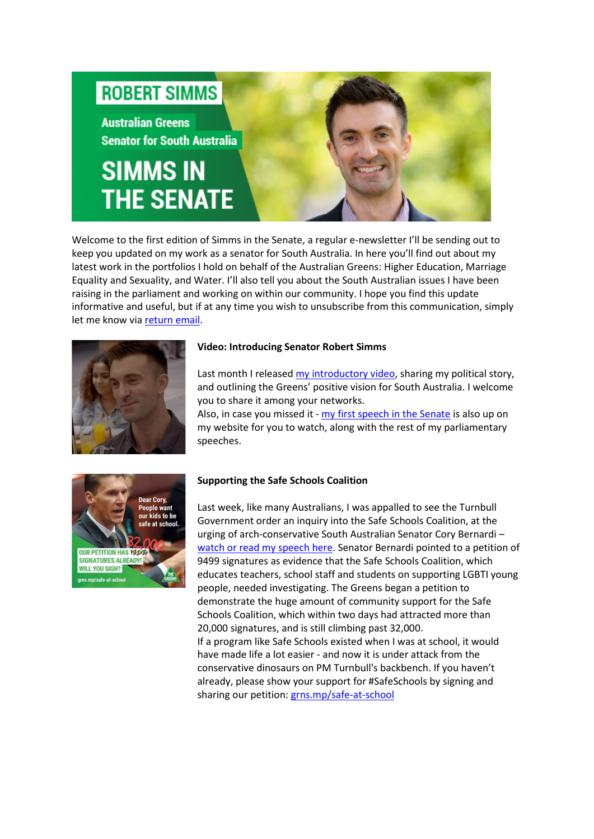# **ROBERT SIMMS**

**Australian Greens Senator for South Australia** 

# **SIMMS IN THE SENATE**

Welcome to the first edition of Simms in the Senate, a regular e-newsletter I'll be sending out to keep you updated on my work as a senator for South Australia. In here you'll find out about my latest work in the portfolios I hold on behalf of the Australian Greens: Higher Education, Marriage Equality and Sexuality, and Water. I'll also tell you about the South Australian issues I have been raising in the parliament and working on within our community. I hope you find this update informative and useful, but if at any time you wish to unsubscribe from this communication, simply let me know via [return email.](mailto:senator.simms@aph.gov.au)



#### **Video: Introducing Senator Robert Simms**

Last month I release[d my introductory video,](http://robert-simms.greensmps.org.au/content/video/introducing-senator-robert-simms) sharing my political story, and outlining the Greens' positive vision for South Australia. I welcome you to share it among your networks.

Also, in case you missed it - [my first speech in the Senate](http://robert-simms.greensmps.org.au/content/video/roberts-first-speech) is also up on my website for you to watch, along with the rest of my parliamentary speeches.



#### **Supporting the Safe Schools Coalition**

Last week, like many Australians, I was appalled to see the Turnbull Government order an inquiry into the Safe Schools Coalition, at the urging of arch-conservative South Australian Senator Cory Bernardi – [watch or read my speech here.](http://robert-simms.greensmps.org.au/content/speeches-parliament/robert-simms-stands-cory-bernardi-over-attack-safe-schools) Senator Bernardi pointed to a petition of 9499 signatures as evidence that the Safe Schools Coalition, which educates teachers, school staff and students on supporting LGBTI young people, needed investigating. The Greens began a petition to demonstrate the huge amount of community support for the Safe Schools Coalition, which within two days had attracted more than 20,000 signatures, and is still climbing past 32,000. If a program like Safe Schools existed when I was at school, it would have made life a lot easier - and now it is under attack from the conservative dinosaurs on PM Turnbull's backbench. If you haven't already, please show your support for #SafeSchools by signing and sharing our petition[: grns.mp/safe-at-school](http://campaigns.greens.org.au/ea-action/action?ea.client.id=1792&ea.campaign.id=48027)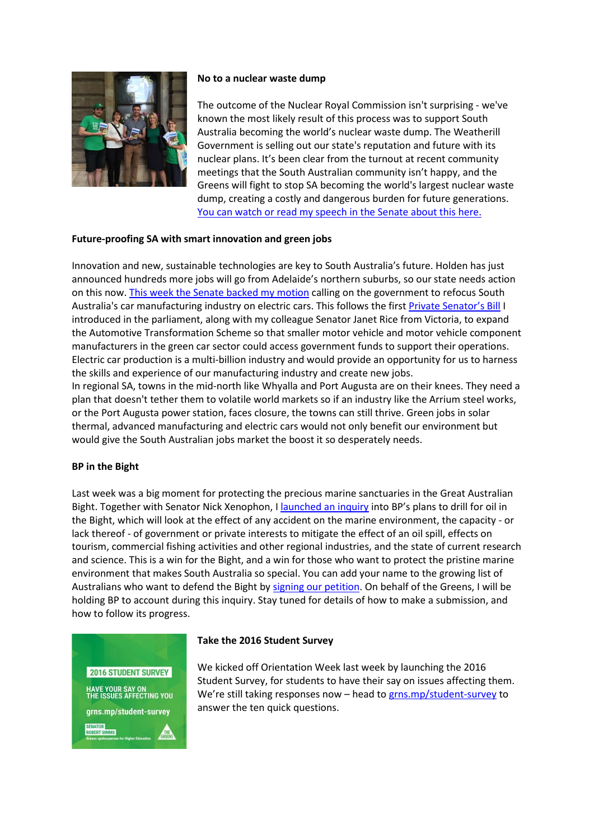

#### **No to a nuclear waste dump**

The outcome of the Nuclear Royal Commission isn't surprising - we've known the most likely result of this process was to support South Australia becoming the world's nuclear waste dump. The Weatherill Government is selling out our state's reputation and future with its nuclear plans. It's been clear from the turnout at recent community meetings that the South Australian community isn't happy, and the Greens will fight to stop SA becoming the world's largest nuclear waste dump, creating a costly and dangerous burden for future generations. [You can watch or read my speech in the Senate about this here.](http://robert-simms.greensmps.org.au/content/speeches-parliament/nuclear-waste-dump-not-answer-sas-financial-woes)

### **Future-proofing SA with smart innovation and green jobs**

Innovation and new, sustainable technologies are key to South Australia's future. Holden has just announced hundreds more jobs will go from Adelaide's northern suburbs, so our state needs action on this now[. This week the Senate backed my motion](http://robert-simms.greensmps.org.au/content/media-releases/senate-backs-electric-cars-sa) calling on the government to refocus South Australia's car manufacturing industry on electric cars. This follows the firs[t Private Senator's Bill](http://robert-simms.greensmps.org.au/content/media-releases/greens-call-federal-support-electric-car-manufacturing-following-holden-annou) I introduced in the parliament, along with my colleague Senator Janet Rice from Victoria, to expand the Automotive Transformation Scheme so that smaller motor vehicle and motor vehicle component manufacturers in the green car sector could access government funds to support their operations. Electric car production is a multi-billion industry and would provide an opportunity for us to harness the skills and experience of our manufacturing industry and create new jobs. In regional SA, towns in the mid-north like Whyalla and Port Augusta are on their knees. They need a

plan that doesn't tether them to volatile world markets so if an industry like the Arrium steel works, or the Port Augusta power station, faces closure, the towns can still thrive. Green jobs in solar thermal, advanced manufacturing and electric cars would not only benefit our environment but would give the South Australian jobs market the boost it so desperately needs.

#### **BP in the Bight**

Last week was a big moment for protecting the precious marine sanctuaries in the Great Australian Bight. Together with Senator Nick Xenophon, I [launched an inquiry](http://robert-simms.greensmps.org.au/content/media-releases/drilling-great-australian-bight-will-not-go-unchecked) into BP's plans to drill for oil in the Bight, which will look at the effect of any accident on the marine environment, the capacity - or lack thereof - of government or private interests to mitigate the effect of an oil spill, effects on tourism, commercial fishing activities and other regional industries, and the state of current research and science. This is a win for the Bight, and a win for those who want to protect the pristine marine environment that makes South Australia so special. You can add your name to the growing list of Australians who want to defend the Bight b[y signing our petition.](http://campaigns.greens.org.au/ea-action/action?ea.client.id=1792&ea.campaign.id=48176&ea.url.id=550013) On behalf of the Greens, I will be holding BP to account during this inquiry. Stay tuned for details of how to make a submission, and how to follow its progress.



#### **Take the 2016 Student Survey**

We kicked off Orientation Week last week by launching the 2016 Student Survey, for students to have their say on issues affecting them. We're still taking responses now - head to [grns.mp/student-survey](https://www.surveymonkey.com/r/RRCPP9K) to answer the ten quick questions.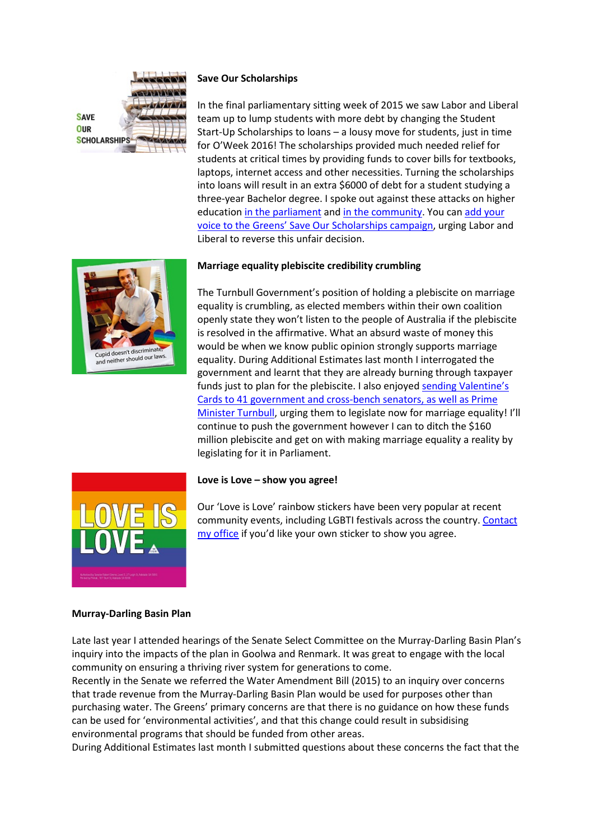

#### **Save Our Scholarships**

In the final parliamentary sitting week of 2015 we saw Labor and Liberal team up to lump students with more debt by changing the Student Start-Up Scholarships to loans – a lousy move for students, just in time for O'Week 2016! The scholarships provided much needed relief for students at critical times by providing funds to cover bills for textbooks, laptops, internet access and other necessities. Turning the scholarships into loans will result in an extra \$6000 of debt for a student studying a three-year Bachelor degree. I spoke out against these attacks on higher education [in the parliament](http://robert-simms.greensmps.org.au/content/video/senator-simms-stands-students-against-liberallabor-cuts) and [in the community.](http://au.educationhq.com/news/33435/labor-retreats-to-back-uni-changes/) You can [add your](http://robert-simms.greensmps.org.au/content/news-stories/save-our-scholarships)  [voice to the Greens' Save Our Scholarships campaign,](http://robert-simms.greensmps.org.au/content/news-stories/save-our-scholarships) urging Labor and Liberal to reverse this unfair decision.



## **Marriage equality plebiscite credibility crumbling**

The Turnbull Government's position of holding a plebiscite on marriage equality is crumbling, as elected members within their own coalition openly state they won't listen to the people of Australia if the plebiscite is resolved in the affirmative. What an absurd waste of money this would be when we know public opinion strongly supports marriage equality. During Additional Estimates last month I interrogated the government and learnt that they are already burning through taxpayer funds just to plan for the plebiscite. I also enjoyed sending Valentine's [Cards to 41 government and cross-bench senators, as well as](http://www.outinperth.com/greens-senator-wishes-pm-a-happy-valentines-day/) Prime Minister [Turnbull,](http://www.outinperth.com/greens-senator-wishes-pm-a-happy-valentines-day/) urging them to legislate now for marriage equality! I'll continue to push the government however I can to ditch the \$160 million plebiscite and get on with making marriage equality a reality by legislating for it in Parliament.



#### **Love is Love – show you agree!**

Our 'Love is Love' rainbow stickers have been very popular at recent community events, including LGBTI festivals across the country. [Contact](mailto:senator.simms@aph.gov.au)  [my office](mailto:senator.simms@aph.gov.au) if you'd like your own sticker to show you agree.

#### **Murray-Darling Basin Plan**

Late last year I attended hearings of the Senate Select Committee on the Murray-Darling Basin Plan's inquiry into the impacts of the plan in Goolwa and Renmark. It was great to engage with the local community on ensuring a thriving river system for generations to come.

Recently in the Senate we referred the Water Amendment Bill (2015) to an inquiry over concerns that trade revenue from the Murray-Darling Basin Plan would be used for purposes other than purchasing water. The Greens' primary concerns are that there is no guidance on how these funds can be used for 'environmental activities', and that this change could result in subsidising environmental programs that should be funded from other areas.

During Additional Estimates last month I submitted questions about these concerns the fact that the